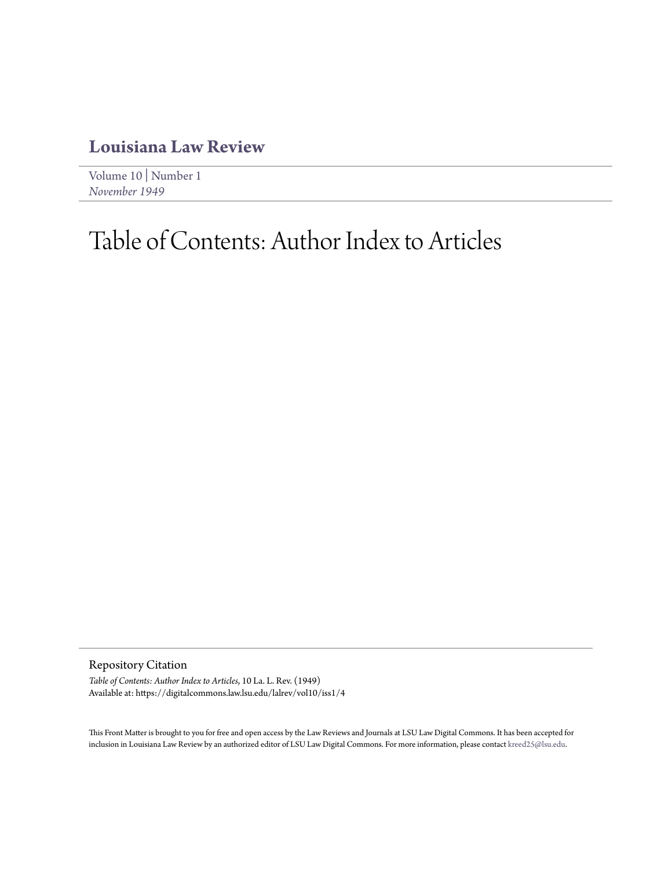## **[Louisiana Law Review](https://digitalcommons.law.lsu.edu/lalrev)**

[Volume 10](https://digitalcommons.law.lsu.edu/lalrev/vol10) | [Number 1](https://digitalcommons.law.lsu.edu/lalrev/vol10/iss1) *[November 1949](https://digitalcommons.law.lsu.edu/lalrev/vol10/iss1)*

## Table of Contents: Author Index to Articles

Repository Citation

*Table of Contents: Author Index to Articles*, 10 La. L. Rev. (1949) Available at: https://digitalcommons.law.lsu.edu/lalrev/vol10/iss1/4

This Front Matter is brought to you for free and open access by the Law Reviews and Journals at LSU Law Digital Commons. It has been accepted for inclusion in Louisiana Law Review by an authorized editor of LSU Law Digital Commons. For more information, please contact [kreed25@lsu.edu](mailto:kreed25@lsu.edu).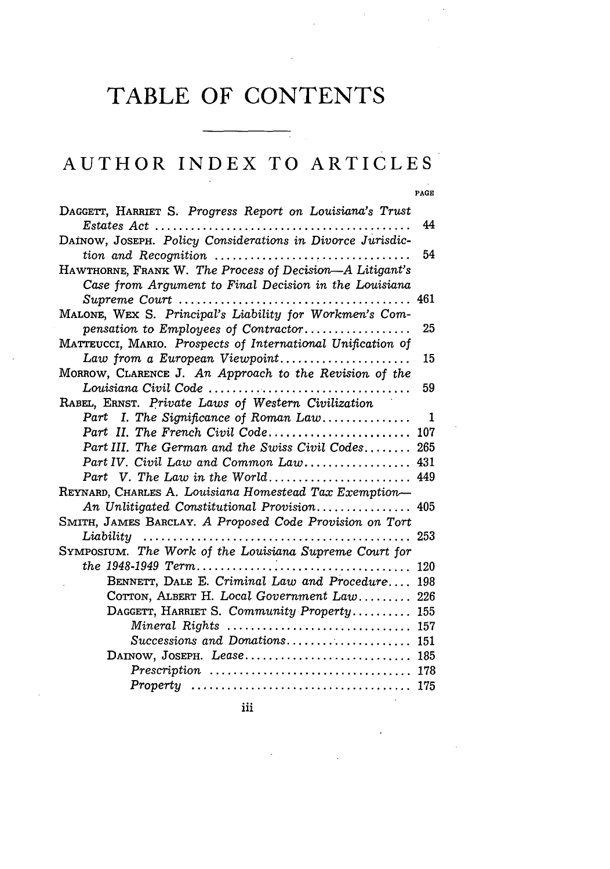## **TABLE OF CONTENTS**

## AUTHOR **INDEX** TO ARTICLES

**PAGE**

| DAGGETT, HARRIET S. Progress Report on Louisiana's Trust            |     |
|---------------------------------------------------------------------|-----|
|                                                                     | 44  |
| DAINOW, JOSEPH. Policy Considerations in Divorce Jurisdic-          |     |
|                                                                     | 54  |
| HAWTHORNE, FRANK W. The Process of Decision-A Litigant's            |     |
| Case from Argument to Final Decision in the Louisiana               |     |
| Supreme Court                                                       | 461 |
| MALONE, WEX S. Principal's Liability for Workmen's Com-             |     |
| pensation to Employees of Contractor                                | 25  |
| MATTEUCCI, MARIO. Prospects of International Unification of         |     |
| Law from a European Viewpoint                                       | 15  |
| MORROW, CLARENCE J. An Approach to the Revision of the              |     |
|                                                                     | 59  |
| RABEL, ERNST. Private Laws of Western Civilization                  |     |
| Part I. The Significance of Roman Law                               | -1  |
| Part II. The French Civil Code                                      | 107 |
| Part III. The German and the Swiss Civil Codes 265                  |     |
| Part IV. Civil Law and Common Law 431                               |     |
| Part V. The Law in the World                                        | 449 |
| REYNARD, CHARLES A. Louisiana Homestead Tax Exemption-              |     |
| An Unlitigated Constitutional Provision 405                         |     |
| SMITH, JAMES BARCLAY. A Proposed Code Provision on Tort             | 253 |
| Liability<br>SYMPOSIUM. The Work of the Louisiana Supreme Court for |     |
|                                                                     | 120 |
| BENNETT, DALE E. Criminal Law and Procedure                         |     |
|                                                                     | 198 |
| COTTON, ALBERT H. Local Government Law                              | 226 |
| DAGGETT, HARRIET S. Community Property                              | 155 |
| Mineral Rights                                                      | 157 |
| Successions and Donations 151                                       |     |
| DAINOW, JOSEPH. Lease                                               | 185 |
|                                                                     |     |
|                                                                     | 175 |